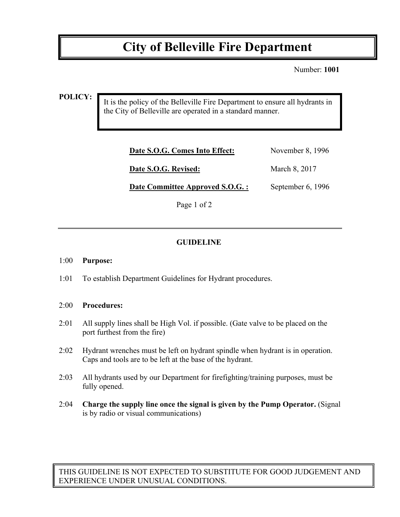# **City of Belleville Fire Department**

Number: **1001**

#### **POLICY:**

It is the policy of the Belleville Fire Department to ensure all hydrants in the City of Belleville are operated in a standard manner.

| Date S.O.G. Comes Into Effect:   | November 8, 1996  |
|----------------------------------|-------------------|
| Date S.O.G. Revised:             | March 8, 2017     |
| Date Committee Approved S.O.G. : | September 6, 1996 |

Page 1 of 2

## **GUIDELINE**

#### 1:00 **Purpose:**

1:01 To establish Department Guidelines for Hydrant procedures.

### 2:00 **Procedures:**

- 2:01 All supply lines shall be High Vol. if possible. (Gate valve to be placed on the port furthest from the fire)
- 2:02 Hydrant wrenches must be left on hydrant spindle when hydrant is in operation. Caps and tools are to be left at the base of the hydrant.
- 2:03 All hydrants used by our Department for firefighting/training purposes, must be fully opened.
- 2:04 **Charge the supply line once the signal is given by the Pump Operator.** (Signal is by radio or visual communications)

THIS GUIDELINE IS NOT EXPECTED TO SUBSTITUTE FOR GOOD JUDGEMENT AND EXPERIENCE UNDER UNUSUAL CONDITIONS.